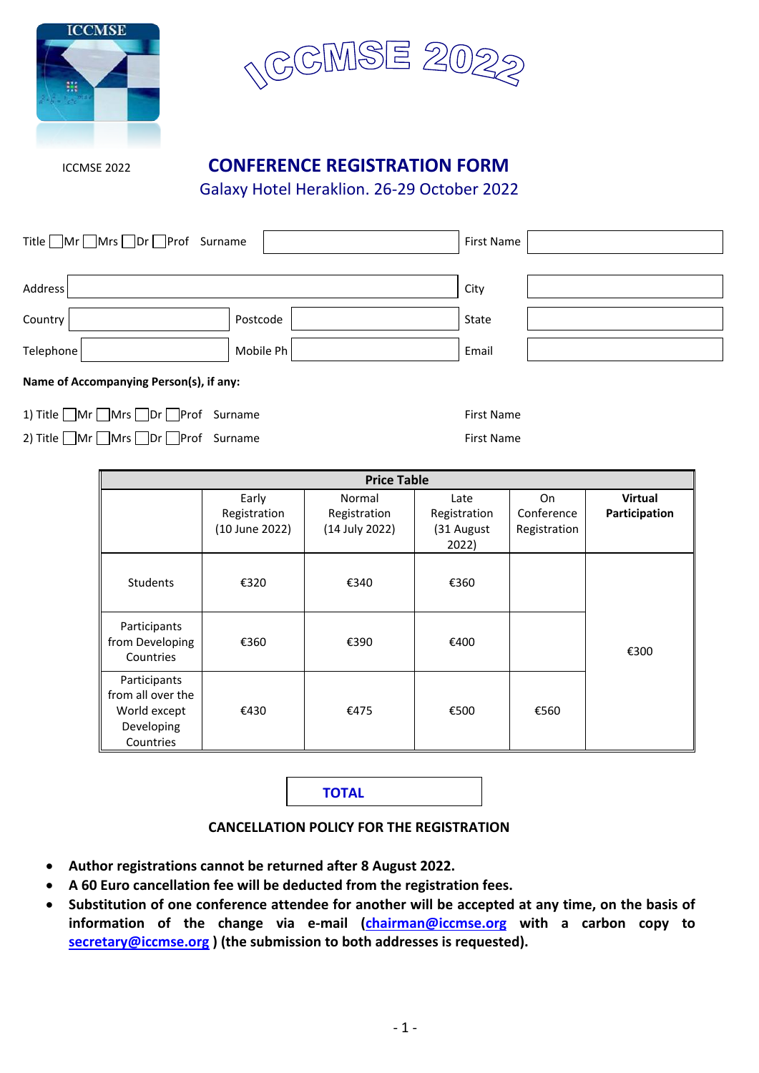



# ICCMSE 2022 **CONFERENCE REGISTRATION FORM**

Galaxy Hotel Heraklion. 26-29 October 2022

| Title ■Mr ■Mrs ■Dr ■Prof Surname        |           | First Name |  |  |
|-----------------------------------------|-----------|------------|--|--|
|                                         |           |            |  |  |
| Address                                 |           | City       |  |  |
| Country                                 | Postcode  | State      |  |  |
| Telephone                               | Mobile Ph | Email      |  |  |
| Name of Accompanying Person(s), if any: |           |            |  |  |

1) Title Mr Mrs Dr Prof Surname First Name

2) Title Mr Mrs Dr Prof Surname First Name

| <b>Price Table</b>                                                           |                                         |                                          |                                             |                                         |                                 |
|------------------------------------------------------------------------------|-----------------------------------------|------------------------------------------|---------------------------------------------|-----------------------------------------|---------------------------------|
|                                                                              | Early<br>Registration<br>(10 June 2022) | Normal<br>Registration<br>(14 July 2022) | Late<br>Registration<br>(31 August<br>2022) | <b>On</b><br>Conference<br>Registration | <b>Virtual</b><br>Participation |
| <b>Students</b>                                                              | €320                                    | €340                                     | €360                                        |                                         |                                 |
| Participants<br>from Developing<br>Countries                                 | €360                                    | €390                                     | €400                                        |                                         | €300                            |
| Participants<br>from all over the<br>World except<br>Developing<br>Countries | €430                                    | €475                                     | €500                                        | €560                                    |                                 |

**TOTAL**

#### **CANCELLATION POLICY FOR THE REGISTRATION**

- **Author registrations cannot be returned after 8 August 2022.**
- **A 60 Euro cancellation fee will be deducted from the registration fees.**
- **Substitution of one conference attendee for another will be accepted at any time, on the basis of information of the change via e-mail [\(chairman@iccmse.org](mailto:chairman@iccmse.org) with a carbon copy to [secretary@iccmse.org](mailto:secretary@iccmse.org) ) (the submission to both addresses is requested).**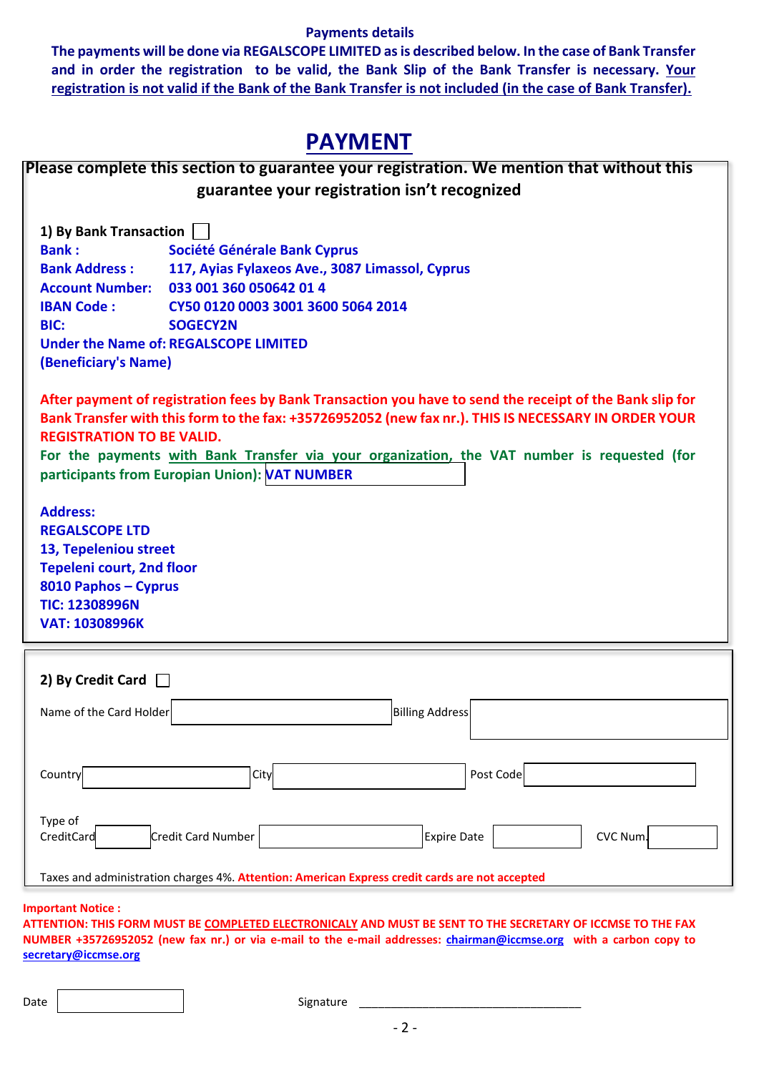#### **Payments details**

**The payments will be done via REGALSCOPE LIMITED as is described below. In the case of Bank Transfer and in order the registration to be valid, the Bank Slip of the Bank Transfer is necessary. Your registration is not valid if the Bank of the Bank Transfer is not included (in the case of Bank Transfer).**

# **PAYMENT**

|                                                                                                                                                                                                                                                                                                                                                                                                      | Please complete this section to guarantee your registration. We mention that without this |  |  |  |
|------------------------------------------------------------------------------------------------------------------------------------------------------------------------------------------------------------------------------------------------------------------------------------------------------------------------------------------------------------------------------------------------------|-------------------------------------------------------------------------------------------|--|--|--|
|                                                                                                                                                                                                                                                                                                                                                                                                      | guarantee your registration isn't recognized                                              |  |  |  |
|                                                                                                                                                                                                                                                                                                                                                                                                      |                                                                                           |  |  |  |
| 1) By Bank Transaction                                                                                                                                                                                                                                                                                                                                                                               |                                                                                           |  |  |  |
| <b>Bank:</b>                                                                                                                                                                                                                                                                                                                                                                                         | Société Générale Bank Cyprus                                                              |  |  |  |
| <b>Bank Address:</b>                                                                                                                                                                                                                                                                                                                                                                                 | 117, Ayias Fylaxeos Ave., 3087 Limassol, Cyprus                                           |  |  |  |
| <b>Account Number:</b>                                                                                                                                                                                                                                                                                                                                                                               | 033 001 360 050642 01 4                                                                   |  |  |  |
| <b>IBAN Code:</b>                                                                                                                                                                                                                                                                                                                                                                                    | CY50 0120 0003 3001 3600 5064 2014                                                        |  |  |  |
| BIC:                                                                                                                                                                                                                                                                                                                                                                                                 | <b>SOGECY2N</b>                                                                           |  |  |  |
|                                                                                                                                                                                                                                                                                                                                                                                                      | <b>Under the Name of: REGALSCOPE LIMITED</b>                                              |  |  |  |
| (Beneficiary's Name)                                                                                                                                                                                                                                                                                                                                                                                 |                                                                                           |  |  |  |
| After payment of registration fees by Bank Transaction you have to send the receipt of the Bank slip for<br>Bank Transfer with this form to the fax: +35726952052 (new fax nr.). THIS IS NECESSARY IN ORDER YOUR<br><b>REGISTRATION TO BE VALID.</b><br>For the payments with Bank Transfer via your organization, the VAT number is requested (for<br>participants from Europian Union): NAT NUMBER |                                                                                           |  |  |  |
| <b>Address:</b>                                                                                                                                                                                                                                                                                                                                                                                      |                                                                                           |  |  |  |
| <b>REGALSCOPE LTD</b>                                                                                                                                                                                                                                                                                                                                                                                |                                                                                           |  |  |  |
| 13, Tepeleniou street                                                                                                                                                                                                                                                                                                                                                                                |                                                                                           |  |  |  |
| <b>Tepeleni court, 2nd floor</b>                                                                                                                                                                                                                                                                                                                                                                     |                                                                                           |  |  |  |
| 8010 Paphos - Cyprus                                                                                                                                                                                                                                                                                                                                                                                 |                                                                                           |  |  |  |
| <b>TIC: 12308996N</b>                                                                                                                                                                                                                                                                                                                                                                                |                                                                                           |  |  |  |
| <b>VAT: 10308996K</b>                                                                                                                                                                                                                                                                                                                                                                                |                                                                                           |  |  |  |
|                                                                                                                                                                                                                                                                                                                                                                                                      |                                                                                           |  |  |  |
| 2) By Credit Card [                                                                                                                                                                                                                                                                                                                                                                                  |                                                                                           |  |  |  |

| Name of the Card Holder                                                                        |      | <b>Billing Address</b> |           |  |  |
|------------------------------------------------------------------------------------------------|------|------------------------|-----------|--|--|
| Country                                                                                        | City |                        | Post Code |  |  |
| Type of<br>CreditCard<br>Credit Card Number<br>CVC Num.<br>Expire Date                         |      |                        |           |  |  |
| Taxes and administration charges 4%. Attention: American Express credit cards are not accepted |      |                        |           |  |  |

**Important Notice :**

**ATTENTION: THIS FORM MUST BE COMPLETED ELECTRONICALY AND MUST BE SENT TO THE SECRETARY OF ICCMSE TO THE FAX NUMBER +35726952052 (new fax nr.) or via e-mail to the e-mail addresses: [chairman@iccmse.org](mailto:chairman@iccmse.org) with a carbon copy to [secretary@iccmse.org](mailto:secretary@iccmse.org)**

Date Signature \_\_\_\_\_\_\_\_\_\_\_\_\_\_\_\_\_\_\_\_\_\_\_\_\_\_\_\_\_\_\_\_\_\_\_